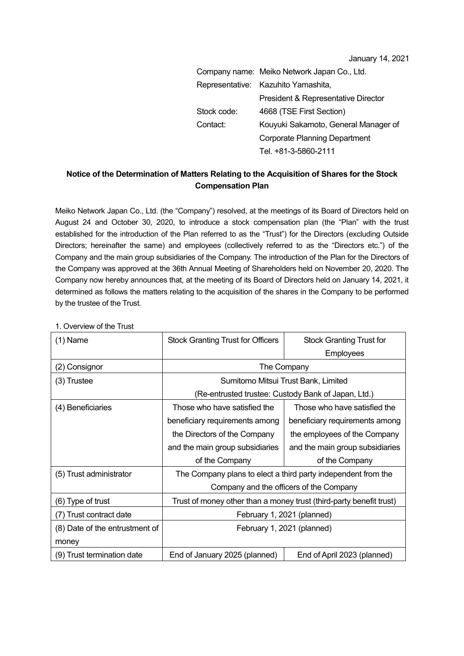January 14, 2021

|             | Company name: Meiko Network Japan Co., Ltd. |
|-------------|---------------------------------------------|
|             | Representative: Kazuhito Yamashita,         |
|             | President & Representative Director         |
| Stock code: | 4668 (TSE First Section)                    |
| Contact:    | Kouyuki Sakamoto, General Manager of        |
|             | <b>Corporate Planning Department</b>        |
|             | Tel. +81-3-5860-2111                        |

## **Notice of the Determination of Matters Relating to the Acquisition of Shares for the Stock Compensation Plan**

Meiko Network Japan Co., Ltd. (the "Company") resolved, at the meetings of its Board of Directors held on August 24 and October 30, 2020, to introduce a stock compensation plan (the "Plan" with the trust established for the introduction of the Plan referred to as the "Trust") for the Directors (excluding Outside Directors; hereinafter the same) and employees (collectively referred to as the "Directors etc.") of the Company and the main group subsidiaries of the Company. The introduction of the Plan for the Directors of the Company was approved at the 36th Annual Meeting of Shareholders held on November 20, 2020. The Company now hereby announces that, at the meeting of its Board of Directors held on January 14, 2021, it determined as follows the matters relating to the acquisition of the shares in the Company to be performed by the trustee of the Trust.

| $(1)$ Name                     | <b>Stock Granting Trust for Officers</b>                            | <b>Stock Granting Trust for</b> |  |
|--------------------------------|---------------------------------------------------------------------|---------------------------------|--|
|                                |                                                                     | Employees                       |  |
| (2) Consignor                  | The Company                                                         |                                 |  |
| (3) Trustee                    | Sumitomo Mitsui Trust Bank, Limited                                 |                                 |  |
|                                | (Re-entrusted trustee: Custody Bank of Japan, Ltd.)                 |                                 |  |
| (4) Beneficiaries              | Those who have satisfied the                                        | Those who have satisfied the    |  |
|                                | beneficiary requirements among                                      | beneficiary requirements among  |  |
|                                | the Directors of the Company                                        | the employees of the Company    |  |
|                                | and the main group subsidiaries                                     | and the main group subsidiaries |  |
|                                | of the Company                                                      | of the Company                  |  |
| (5) Trust administrator        | The Company plans to elect a third party independent from the       |                                 |  |
|                                | Company and the officers of the Company                             |                                 |  |
| (6) Type of trust              | Trust of money other than a money trust (third-party benefit trust) |                                 |  |
| (7) Trust contract date        | February 1, 2021 (planned)                                          |                                 |  |
| (8) Date of the entrustment of | February 1, 2021 (planned)                                          |                                 |  |
| money                          |                                                                     |                                 |  |
| (9) Trust termination date     | End of January 2025 (planned)                                       | End of April 2023 (planned)     |  |

1. Overview of the Trust